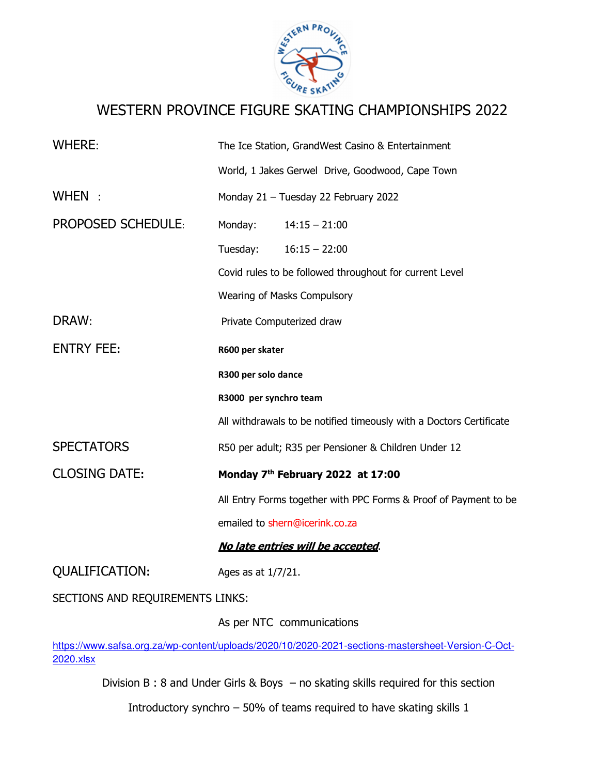

# WESTERN PROVINCE FIGURE SKATING CHAMPIONSHIPS 2022

| <b>WHERE:</b>                    | The Ice Station, GrandWest Casino & Entertainment                   |
|----------------------------------|---------------------------------------------------------------------|
|                                  | World, 1 Jakes Gerwel Drive, Goodwood, Cape Town                    |
| WHEN:                            | Monday 21 - Tuesday 22 February 2022                                |
| <b>PROPOSED SCHEDULE:</b>        | Monday:<br>$14:15 - 21:00$                                          |
|                                  | Tuesday:<br>$16:15 - 22:00$                                         |
|                                  | Covid rules to be followed throughout for current Level             |
|                                  | Wearing of Masks Compulsory                                         |
| DRAW:                            | Private Computerized draw                                           |
| <b>ENTRY FEE:</b>                | R600 per skater                                                     |
|                                  | R300 per solo dance                                                 |
|                                  | R3000 per synchro team                                              |
|                                  | All withdrawals to be notified timeously with a Doctors Certificate |
| <b>SPECTATORS</b>                | R50 per adult; R35 per Pensioner & Children Under 12                |
| <b>CLOSING DATE:</b>             | Monday 7th February 2022 at 17:00                                   |
|                                  | All Entry Forms together with PPC Forms & Proof of Payment to be    |
|                                  | emailed to shern@icerink.co.za                                      |
|                                  | No late entries will be accepted.                                   |
| <b>QUALIFICATION:</b>            | Ages as at 1/7/21.                                                  |
| SECTIONS AND REQUIREMENTS LINKS: |                                                                     |

As per NTC communications

https://www.safsa.org.za/wp-content/uploads/2020/10/2020-2021-sections-mastersheet-Version-C-Oct-2020.xlsx

Division B : 8 and Under Girls & Boys – no skating skills required for this section

Introductory synchro – 50% of teams required to have skating skills 1